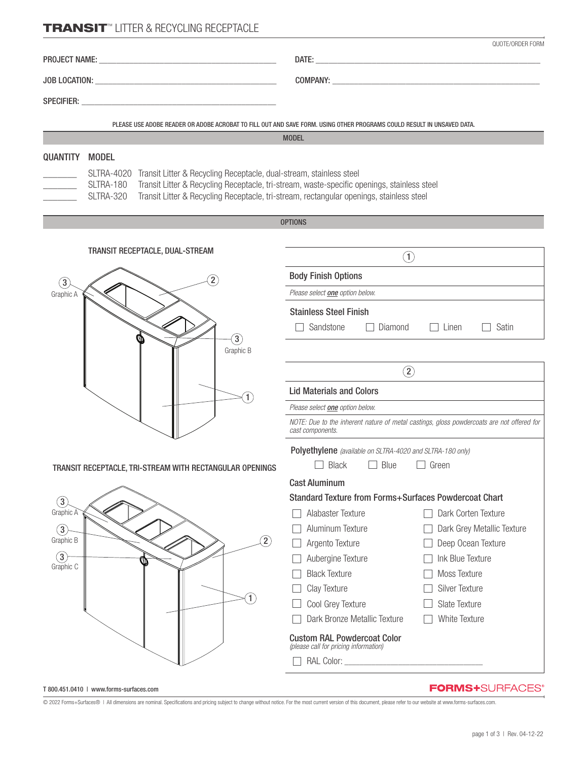## **TRANSIT™ LITTER & RECYCLING RECEPTACLE**

|                               |                                                                                                                 | QUOTE/ORDER FORM                                                                                                                                                                        |  |
|-------------------------------|-----------------------------------------------------------------------------------------------------------------|-----------------------------------------------------------------------------------------------------------------------------------------------------------------------------------------|--|
|                               |                                                                                                                 |                                                                                                                                                                                         |  |
|                               |                                                                                                                 |                                                                                                                                                                                         |  |
|                               | SPECIFIER: We are a series of the series of the series of the series of the series of the series of the series  |                                                                                                                                                                                         |  |
|                               |                                                                                                                 | PLEASE USE ADOBE READER OR ADOBE ACROBAT TO FILL OUT AND SAVE FORM. USING OTHER PROGRAMS COULD RESULT IN UNSAVED DATA.                                                                  |  |
|                               |                                                                                                                 | <b>MODEL</b>                                                                                                                                                                            |  |
| <b>QUANTITY</b>               | <b>MODEL</b>                                                                                                    |                                                                                                                                                                                         |  |
|                               | SLTRA-4020 Transit Litter & Recycling Receptacle, dual-stream, stainless steel<br>SLTRA-180<br><b>SLTRA-320</b> | Transit Litter & Recycling Receptacle, tri-stream, waste-specific openings, stainless steel<br>Transit Litter & Recycling Receptacle, tri-stream, rectangular openings, stainless steel |  |
|                               |                                                                                                                 | <b>OPTIONS</b>                                                                                                                                                                          |  |
|                               |                                                                                                                 |                                                                                                                                                                                         |  |
|                               | TRANSIT RECEPTACLE, DUAL-STREAM                                                                                 | $\left( 1\right)$                                                                                                                                                                       |  |
| $\boxed{3}$                   | $\left( 2\right)$                                                                                               | <b>Body Finish Options</b>                                                                                                                                                              |  |
| Graphic A                     |                                                                                                                 | Please select <b>one</b> option below.                                                                                                                                                  |  |
|                               |                                                                                                                 | <b>Stainless Steel Finish</b>                                                                                                                                                           |  |
|                               |                                                                                                                 | Sandstone<br>Diamond<br>Linen<br>Satin<br>$\Box$                                                                                                                                        |  |
|                               | $\binom{3}{ }$<br>Graphic B                                                                                     |                                                                                                                                                                                         |  |
|                               |                                                                                                                 | $\left( 2\right)$                                                                                                                                                                       |  |
|                               | 1                                                                                                               | <b>Lid Materials and Colors</b>                                                                                                                                                         |  |
|                               |                                                                                                                 | Please select <b>one</b> option below.                                                                                                                                                  |  |
|                               |                                                                                                                 | NOTE: Due to the inherent nature of metal castings, gloss powdercoats are not offered for<br>cast components.                                                                           |  |
|                               |                                                                                                                 | Polyethylene (available on SLTRA-4020 and SLTRA-180 only)                                                                                                                               |  |
|                               | TRANSIT RECEPTACLE, TRI-STREAM WITH RECTANGULAR OPENINGS                                                        | <b>Black</b><br>Blue<br>Green                                                                                                                                                           |  |
|                               |                                                                                                                 | <b>Cast Aluminum</b>                                                                                                                                                                    |  |
| $\boxed{3}$                   |                                                                                                                 | <b>Standard Texture from Forms+Surfaces Powdercoat Chart</b>                                                                                                                            |  |
| Graphic A                     |                                                                                                                 | Alabaster Texture<br>Dark Corten Texture                                                                                                                                                |  |
| $\circled{3}$                 |                                                                                                                 | Aluminum Texture<br>Dark Grey Metallic Texture                                                                                                                                          |  |
| Graphic B                     | $\left( 2\right)$                                                                                               | Argento Texture<br>Deep Ocean Texture                                                                                                                                                   |  |
| $\left(3\right)$<br>Graphic C | W                                                                                                               | Ink Blue Texture<br>Aubergine Texture                                                                                                                                                   |  |
|                               |                                                                                                                 |                                                                                                                                                                                         |  |

□ Black Texture Moss Texture Clay Texture Silver Texture  $\Box$  Cool Grey Texture  $\Box$  Slate Texture □ Dark Bronze Metallic Texture □ White Texture

Custom RAL Powdercoat Color *(please call for pricing information)* 

 $\Box$  RAL Color:

© 2022 Forms+Surfaces® | All dimensions are nominal. Specifications and pricing subject to change without notice. For the most current version of this document, please refer to our website at www.forms-surfaces.com.

 $\left(1\right)$ 

T 800.451.0410 | www.forms-surfaces.com

**FORMS+**SURFACES®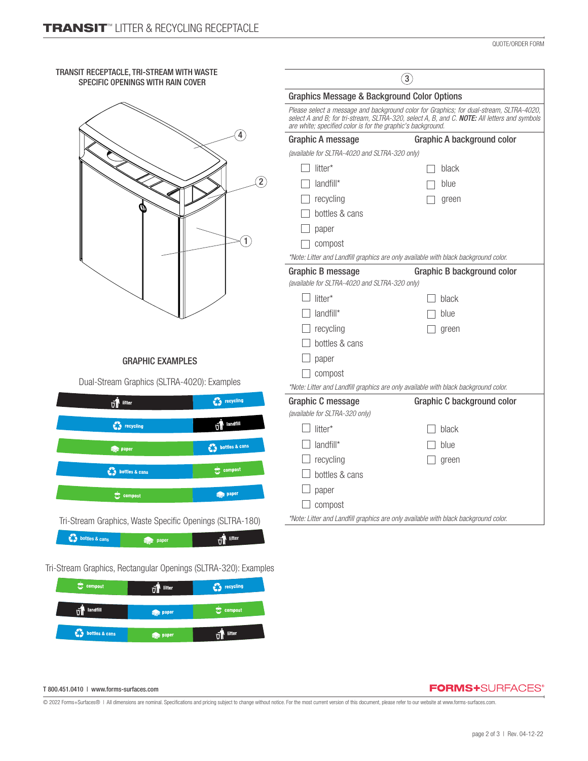| TRANSIT RECEPTACLE, TRI-STREAM WITH WASTE<br>SPECIFIC OPENINGS WITH RAIN COVER |                                                                    | $\binom{3}{2}$<br><b>Graphics Message &amp; Background Color Options</b>                                                                                                                    |  |  |
|--------------------------------------------------------------------------------|--------------------------------------------------------------------|---------------------------------------------------------------------------------------------------------------------------------------------------------------------------------------------|--|--|
|                                                                                |                                                                    |                                                                                                                                                                                             |  |  |
|                                                                                | are white; specified color is for the graphic's background.        | Please select a message and background color for Graphics; for dual-stream, SLTRA-4020, select A and B; for tri-stream, SLTRA-320, select A, B, and C. <b>NOTE:</b> All letters and symbols |  |  |
| $\left  \right $                                                               | <b>Graphic A message</b>                                           | Graphic A background color                                                                                                                                                                  |  |  |
|                                                                                |                                                                    | (available for SLTRA-4020 and SLTRA-320 only)                                                                                                                                               |  |  |
|                                                                                | litter*                                                            | black                                                                                                                                                                                       |  |  |
|                                                                                | $\Omega$<br>landfill*                                              | blue                                                                                                                                                                                        |  |  |
|                                                                                | recycling                                                          | green                                                                                                                                                                                       |  |  |
|                                                                                | bottles & cans                                                     |                                                                                                                                                                                             |  |  |
|                                                                                | paper                                                              |                                                                                                                                                                                             |  |  |
| $\boxed{1}$                                                                    | compost                                                            |                                                                                                                                                                                             |  |  |
|                                                                                |                                                                    | *Note: Litter and Landfill graphics are only available with black background color.                                                                                                         |  |  |
|                                                                                | Graphic B message<br>(available for SLTRA-4020 and SLTRA-320 only) | Graphic B background color                                                                                                                                                                  |  |  |
|                                                                                | litter*                                                            | black                                                                                                                                                                                       |  |  |
|                                                                                | landfill*                                                          | blue                                                                                                                                                                                        |  |  |
|                                                                                | recycling                                                          | green                                                                                                                                                                                       |  |  |
|                                                                                | bottles & cans                                                     |                                                                                                                                                                                             |  |  |
|                                                                                | paper                                                              |                                                                                                                                                                                             |  |  |
| <b>GRAPHIC EXAMPLES</b>                                                        |                                                                    |                                                                                                                                                                                             |  |  |
| Dual-Stream Graphics (SLTRA-4020): Examples                                    | compost                                                            | *Note: Litter and Landfill graphics are only available with black background color.                                                                                                         |  |  |
| experience of the recognizer                                                   | Graphic C message                                                  | Graphic C background color                                                                                                                                                                  |  |  |
| $\overline{v}$ litter                                                          | (available for SLTRA-320 only)                                     |                                                                                                                                                                                             |  |  |
| landfill<br><b>C</b> s recycling<br>vÎ                                         | $\exists$ litter*                                                  | black                                                                                                                                                                                       |  |  |
| bottles & cans                                                                 | landfill*                                                          | blue                                                                                                                                                                                        |  |  |
|                                                                                | recycling                                                          | green                                                                                                                                                                                       |  |  |
| $\sqrt{2}$ compost<br>tottles & cans                                           | bottles & cans                                                     |                                                                                                                                                                                             |  |  |
|                                                                                | paper                                                              |                                                                                                                                                                                             |  |  |
| paper                                                                          | compost                                                            |                                                                                                                                                                                             |  |  |
| Tri-Stream Graphics, Waste Specific Openings (SLTRA-180)                       |                                                                    | *Note: Litter and Landfill graphics are only available with black background color.                                                                                                         |  |  |
|                                                                                |                                                                    |                                                                                                                                                                                             |  |  |
| $\mathbf{v}$ litter<br>paper                                                   |                                                                    |                                                                                                                                                                                             |  |  |
| Tri-Stream Graphics, Rectangular Openings (SLTRA-320): Examples                |                                                                    |                                                                                                                                                                                             |  |  |
| $\overline{v}$ litter<br><b>C</b> y recycling                                  |                                                                    |                                                                                                                                                                                             |  |  |
|                                                                                |                                                                    |                                                                                                                                                                                             |  |  |

## T 800.451.0410 | www.forms-surfaces.com

 $\vec{v}$  landfill

 $\bigcirc$  bottles & cans

© 2022 Forms+Surfaces® | All dimensions are nominal. Specifications and pricing subject to change without notice. For the most current version of this document, please refer to our website at www.forms-surfaces.com.

 $\stackrel{\leftrightarrow}{\infty}$  compost

 $\overrightarrow{VI}$  litter

**See paper** 

 $\Rightarrow$  paper

**FORMS+**SURFACES®